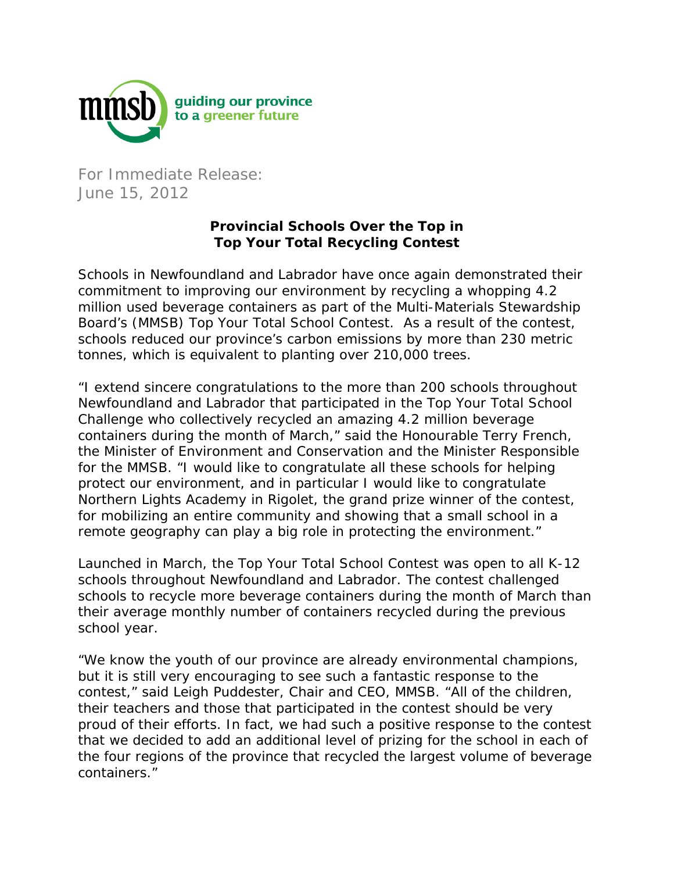

For Immediate Release: June 15, 2012

## **Provincial Schools Over the Top in Top Your Total Recycling Contest**

Schools in Newfoundland and Labrador have once again demonstrated their commitment to improving our environment by recycling a whopping 4.2 million used beverage containers as part of the Multi-Materials Stewardship Board's (MMSB) Top Your Total School Contest. As a result of the contest, schools reduced our province's carbon emissions by more than 230 metric tonnes, which is equivalent to planting over 210,000 trees.

"I extend sincere congratulations to the more than 200 schools throughout Newfoundland and Labrador that participated in the Top Your Total School Challenge who collectively recycled an amazing 4.2 million beverage containers during the month of March," said the Honourable Terry French, the Minister of Environment and Conservation and the Minister Responsible for the MMSB. "I would like to congratulate all these schools for helping protect our environment, and in particular I would like to congratulate Northern Lights Academy in Rigolet, the grand prize winner of the contest, for mobilizing an entire community and showing that a small school in a remote geography can play a big role in protecting the environment."

Launched in March, the Top Your Total School Contest was open to all K-12 schools throughout Newfoundland and Labrador. The contest challenged schools to recycle more beverage containers during the month of March than their average monthly number of containers recycled during the previous school year.

"We know the youth of our province are already environmental champions, but it is still very encouraging to see such a fantastic response to the contest," said Leigh Puddester, Chair and CEO, MMSB. "All of the children, their teachers and those that participated in the contest should be very proud of their efforts. In fact, we had such a positive response to the contest that we decided to add an additional level of prizing for the school in each of the four regions of the province that recycled the largest volume of beverage containers."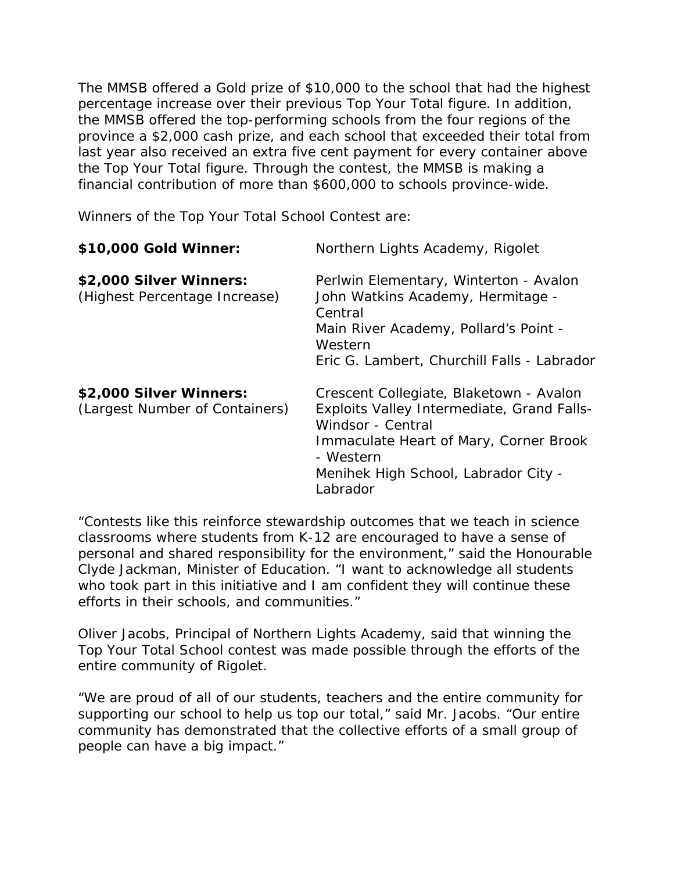The MMSB offered a Gold prize of \$10,000 to the school that had the highest percentage increase over their previous Top Your Total figure. In addition, the MMSB offered the top-performing schools from the four regions of the province a \$2,000 cash prize, and each school that exceeded their total from last year also received an extra five cent payment for every container above the Top Your Total figure. Through the contest, the MMSB is making a financial contribution of more than \$600,000 to schools province-wide.

Winners of the Top Your Total School Contest are:

| \$10,000 Gold Winner:                                     | Northern Lights Academy, Rigolet                                                                                                                                                                                      |
|-----------------------------------------------------------|-----------------------------------------------------------------------------------------------------------------------------------------------------------------------------------------------------------------------|
| \$2,000 Silver Winners:<br>(Highest Percentage Increase)  | Perlwin Elementary, Winterton - Avalon<br>John Watkins Academy, Hermitage -<br>Central<br>Main River Academy, Pollard's Point -<br>Western<br>Eric G. Lambert, Churchill Falls - Labrador                             |
| \$2,000 Silver Winners:<br>(Largest Number of Containers) | Crescent Collegiate, Blaketown - Avalon<br>Exploits Valley Intermediate, Grand Falls-<br>Windsor - Central<br>Immaculate Heart of Mary, Corner Brook<br>- Western<br>Menihek High School, Labrador City -<br>Labrador |

"Contests like this reinforce stewardship outcomes that we teach in science classrooms where students from K-12 are encouraged to have a sense of personal and shared responsibility for the environment," said the Honourable Clyde Jackman, Minister of Education. "I want to acknowledge all students who took part in this initiative and I am confident they will continue these efforts in their schools, and communities."

Oliver Jacobs, Principal of Northern Lights Academy, said that winning the Top Your Total School contest was made possible through the efforts of the entire community of Rigolet.

"We are proud of all of our students, teachers and the entire community for supporting our school to help us top our total," said Mr. Jacobs. "Our entire community has demonstrated that the collective efforts of a small group of people can have a big impact."